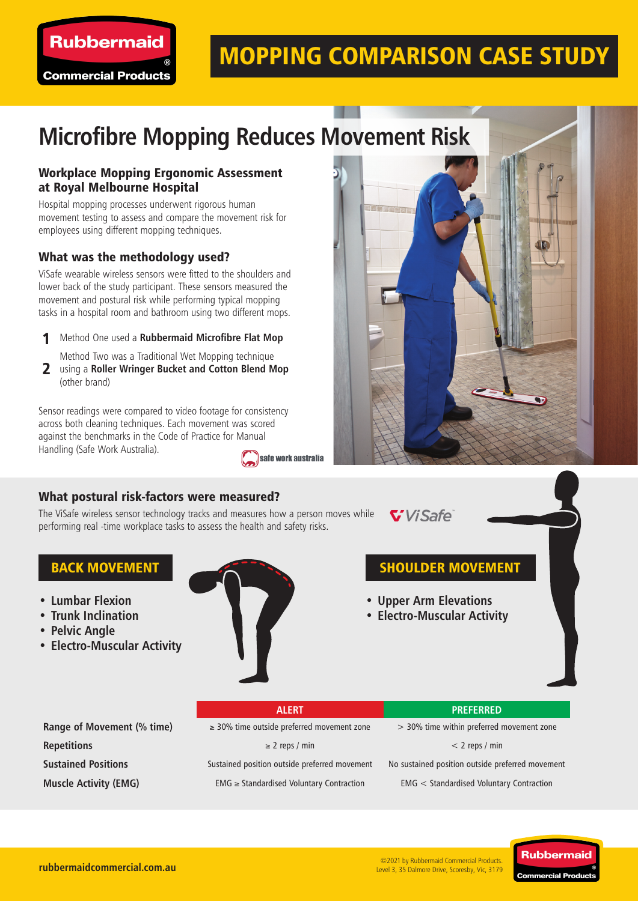

## MOPPING COMPARISON CASE STUDY

# **Microfibre Mopping Reduces Movement Risk**

### Workplace Mopping Ergonomic Assessment at Royal Melbourne Hospital

Hospital mopping processes underwent rigorous human movement testing to assess and compare the movement risk for employees using different mopping techniques.

### What was the methodology used?

ViSafe wearable wireless sensors were fitted to the shoulders and lower back of the study participant. These sensors measured the movement and postural risk while performing typical mopping tasks in a hospital room and bathroom using two different mops.

- Method One used a **Rubbermaid Microfibre Flat Mop** 1
	- Method Two was a Traditional Wet Mopping technique
- using a **Roller Wringer Bucket and Cotton Blend Mop** 2 (other brand)

Sensor readings were compared to video footage for consistency across both cleaning techniques. Each movement was scored against the benchmarks in the Code of Practice for Manual Handling (Safe Work Australia). safe work australia



The ViSafe wireless sensor technology tracks and measures how a person moves while performing real -time workplace tasks to assess the health and safety risks.

ViSafe

- **• Lumbar Flexion**
- **• Trunk Inclination**
- **• Pelvic Angle**
- **• Electro-Muscular Activity**



### BACK MOVEMENT **SHOULDER MOVEMENT**

- **• Upper Arm Elevations**
- **• Electro-Muscular Activity**

**Range of Movement (% time)** ≥ 30% time outside preferred movement zone > 30% time within preferred movement zone

**Repetitions** < 2 reps / min < 2 reps / min < 2 reps / min < 2 reps / min < 2 reps / min

**Sustained Positions** Sustained position outside preferred movement No sustained position outside preferred movement

**Muscle Activity (EMG)** EMG ≥ Standardised Voluntary Contraction EMG < Standardised Voluntary Contraction



**rubbermaidcommercial.com.au**